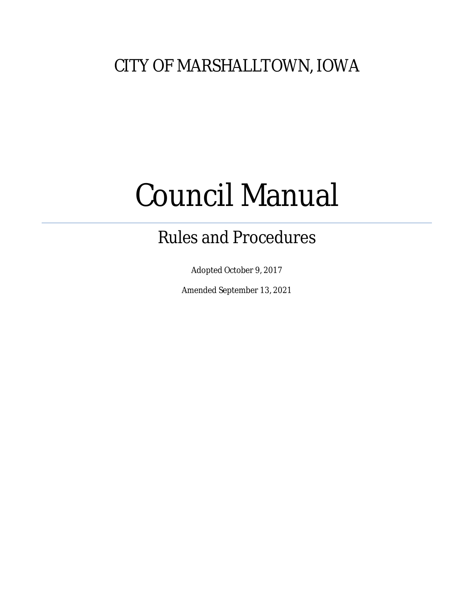# CITY OF MARSHALLTOWN, IOWA

# Council Manual

# Rules and Procedures

Adopted October 9, 2017

Amended September 13, 2021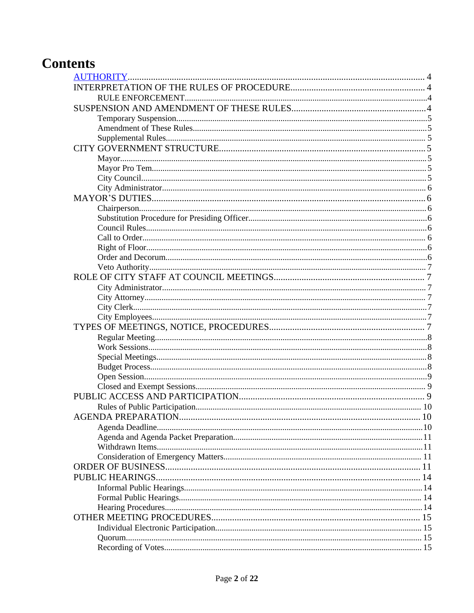# **Contents**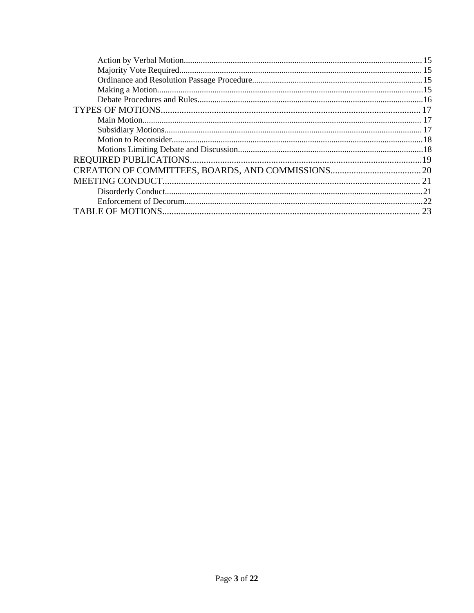| 23 |
|----|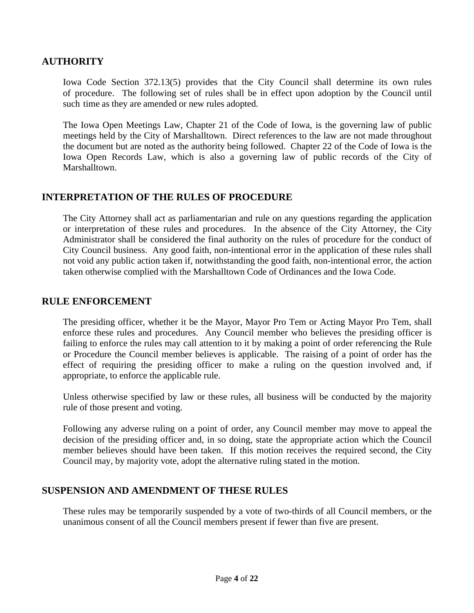# <span id="page-3-0"></span>**AUTHORITY**

Iowa Code Section 372.13(5) provides that the City Council shall determine its own rules of procedure. The following set of rules shall be in effect upon adoption by the Council until such time as they are amended or new rules adopted.

The Iowa Open Meetings Law, Chapter 21 of the Code of Iowa, is the governing law of public meetings held by the City of Marshalltown. Direct references to the law are not made throughout the document but are noted as the authority being followed. Chapter 22 of the Code of Iowa is the Iowa Open Records Law, which is also a governing law of public records of the City of Marshalltown.

### <span id="page-3-1"></span>**INTERPRETATION OF THE RULES OF PROCEDURE**

The City Attorney shall act as parliamentarian and rule on any questions regarding the application or interpretation of these rules and procedures. In the absence of the City Attorney, the City Administrator shall be considered the final authority on the rules of procedure for the conduct of City Council business. Any good faith, non-intentional error in the application of these rules shall not void any public action taken if, notwithstanding the good faith, non-intentional error, the action taken otherwise complied with the Marshalltown Code of Ordinances and the Iowa Code.

#### <span id="page-3-2"></span>**RULE ENFORCEMENT**

The presiding officer, whether it be the Mayor, Mayor Pro Tem or Acting Mayor Pro Tem, shall enforce these rules and procedures. Any Council member who believes the presiding officer is failing to enforce the rules may call attention to it by making a point of order referencing the Rule or Procedure the Council member believes is applicable. The raising of a point of order has the effect of requiring the presiding officer to make a ruling on the question involved and, if appropriate, to enforce the applicable rule.

Unless otherwise specified by law or these rules, all business will be conducted by the majority rule of those present and voting.

Following any adverse ruling on a point of order, any Council member may move to appeal the decision of the presiding officer and, in so doing, state the appropriate action which the Council member believes should have been taken. If this motion receives the required second, the City Council may, by majority vote, adopt the alternative ruling stated in the motion.

#### <span id="page-3-3"></span>**SUSPENSION AND AMENDMENT OF THESE RULES**

These rules may be temporarily suspended by a vote of two-thirds of all Council members, or the unanimous consent of all the Council members present if fewer than five are present.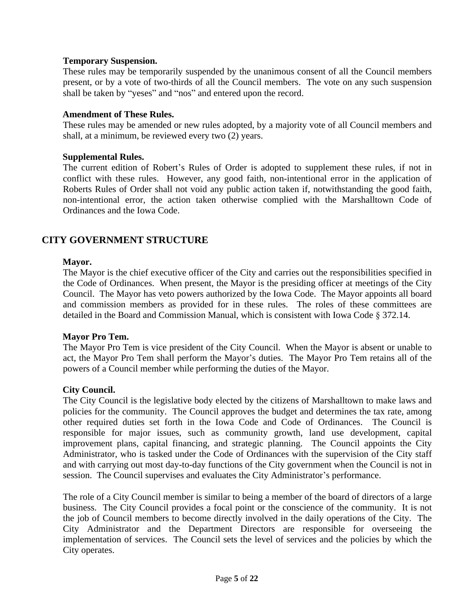#### <span id="page-4-0"></span>**Temporary Suspension.**

These rules may be temporarily suspended by the unanimous consent of all the Council members present, or by a vote of two-thirds of all the Council members. The vote on any such suspension shall be taken by "yeses" and "nos" and entered upon the record.

#### <span id="page-4-1"></span>**Amendment of These Rules.**

These rules may be amended or new rules adopted, by a majority vote of all Council members and shall, at a minimum, be reviewed every two (2) years.

#### <span id="page-4-2"></span>**Supplemental Rules.**

The current edition of Robert's Rules of Order is adopted to supplement these rules, if not in conflict with these rules. However, any good faith, non-intentional error in the application of Roberts Rules of Order shall not void any public action taken if, notwithstanding the good faith, non-intentional error, the action taken otherwise complied with the Marshalltown Code of Ordinances and the Iowa Code.

# <span id="page-4-3"></span>**CITY GOVERNMENT STRUCTURE**

#### <span id="page-4-4"></span>**Mayor.**

The Mayor is the chief executive officer of the City and carries out the responsibilities specified in the Code of Ordinances. When present, the Mayor is the presiding officer at meetings of the City Council. The Mayor has veto powers authorized by the Iowa Code. The Mayor appoints all board and commission members as provided for in these rules. The roles of these committees are detailed in the Board and Commission Manual, which is consistent with Iowa Code § 372.14.

#### <span id="page-4-5"></span>**Mayor Pro Tem.**

The Mayor Pro Tem is vice president of the City Council. When the Mayor is absent or unable to act, the Mayor Pro Tem shall perform the Mayor's duties. The Mayor Pro Tem retains all of the powers of a Council member while performing the duties of the Mayor.

#### <span id="page-4-6"></span>**City Council.**

The City Council is the legislative body elected by the citizens of Marshalltown to make laws and policies for the community. The Council approves the budget and determines the tax rate, among other required duties set forth in the Iowa Code and Code of Ordinances. The Council is responsible for major issues, such as community growth, land use development, capital improvement plans, capital financing, and strategic planning. The Council appoints the City Administrator, who is tasked under the Code of Ordinances with the supervision of the City staff and with carrying out most day-to-day functions of the City government when the Council is not in session. The Council supervises and evaluates the City Administrator's performance.

The role of a City Council member is similar to being a member of the board of directors of a large business. The City Council provides a focal point or the conscience of the community. It is not the job of Council members to become directly involved in the daily operations of the City. The City Administrator and the Department Directors are responsible for overseeing the implementation of services. The Council sets the level of services and the policies by which the City operates.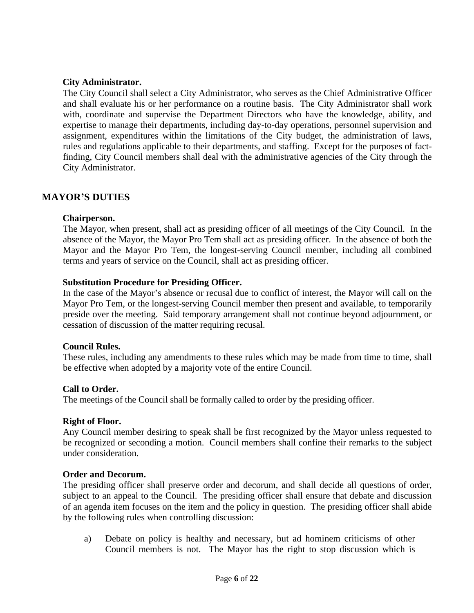#### <span id="page-5-0"></span>**City Administrator.**

The City Council shall select a City Administrator, who serves as the Chief Administrative Officer and shall evaluate his or her performance on a routine basis. The City Administrator shall work with, coordinate and supervise the Department Directors who have the knowledge, ability, and expertise to manage their departments, including day-to-day operations, personnel supervision and assignment, expenditures within the limitations of the City budget, the administration of laws, rules and regulations applicable to their departments, and staffing. Except for the purposes of factfinding, City Council members shall deal with the administrative agencies of the City through the City Administrator.

#### <span id="page-5-1"></span>**MAYOR'S DUTIES**

#### **Chairperson.**

<span id="page-5-2"></span>The Mayor, when present, shall act as presiding officer of all meetings of the City Council. In the absence of the Mayor, the Mayor Pro Tem shall act as presiding officer. In the absence of both the Mayor and the Mayor Pro Tem, the longest-serving Council member, including all combined terms and years of service on the Council, shall act as presiding officer.

#### <span id="page-5-3"></span>**Substitution Procedure for Presiding Officer.**

In the case of the Mayor's absence or recusal due to conflict of interest, the Mayor will call on the Mayor Pro Tem, or the longest-serving Council member then present and available, to temporarily preside over the meeting. Said temporary arrangement shall not continue beyond adjournment, or cessation of discussion of the matter requiring recusal.

#### <span id="page-5-4"></span>**Council Rules.**

These rules, including any amendments to these rules which may be made from time to time, shall be effective when adopted by a majority vote of the entire Council.

#### <span id="page-5-5"></span>**Call to Order.**

The meetings of the Council shall be formally called to order by the presiding officer.

#### <span id="page-5-6"></span>**Right of Floor.**

Any Council member desiring to speak shall be first recognized by the Mayor unless requested to be recognized or seconding a motion. Council members shall confine their remarks to the subject under consideration.

#### <span id="page-5-7"></span>**Order and Decorum.**

The presiding officer shall preserve order and decorum, and shall decide all questions of order, subject to an appeal to the Council. The presiding officer shall ensure that debate and discussion of an agenda item focuses on the item and the policy in question. The presiding officer shall abide by the following rules when controlling discussion:

a) Debate on policy is healthy and necessary, but ad hominem criticisms of other Council members is not. The Mayor has the right to stop discussion which is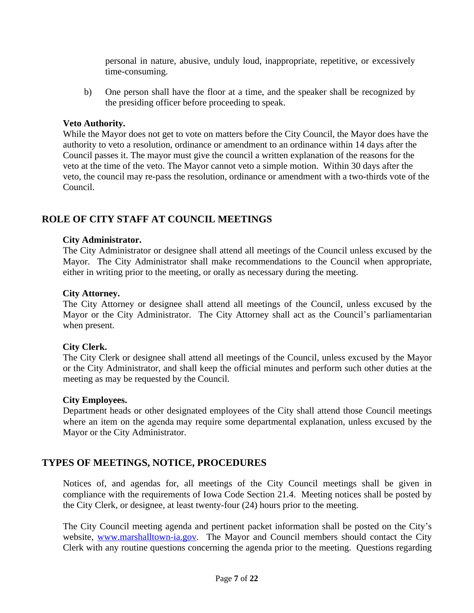personal in nature, abusive, unduly loud, inappropriate, repetitive, or excessively time-consuming.

b) One person shall have the floor at a time, and the speaker shall be recognized by the presiding officer before proceeding to speak.

#### <span id="page-6-0"></span>**Veto Authority.**

While the Mayor does not get to vote on matters before the City Council, the Mayor does have the authority to veto a resolution, ordinance or amendment to an ordinance within 14 days after the Council passes it. The mayor must give the council a written explanation of the reasons for the veto at the time of the veto. The Mayor cannot veto a simple motion. Within 30 days after the veto, the council may re-pass the resolution, ordinance or amendment with a two-thirds vote of the Council.

# <span id="page-6-1"></span>**ROLE OF CITY STAFF AT COUNCIL MEETINGS**

#### <span id="page-6-2"></span>**City Administrator.**

The City Administrator or designee shall attend all meetings of the Council unless excused by the Mayor. The City Administrator shall make recommendations to the Council when appropriate, either in writing prior to the meeting, or orally as necessary during the meeting.

#### **City Attorney.**

<span id="page-6-3"></span>The City Attorney or designee shall attend all meetings of the Council, unless excused by the Mayor or the City Administrator. The City Attorney shall act as the Council's parliamentarian when present.

#### **City Clerk.**

<span id="page-6-4"></span>The City Clerk or designee shall attend all meetings of the Council, unless excused by the Mayor or the City Administrator, and shall keep the official minutes and perform such other duties at the meeting as may be requested by the Council.

#### **City Employees.**

<span id="page-6-5"></span>Department heads or other designated employees of the City shall attend those Council meetings where an item on the agenda may require some departmental explanation, unless excused by the Mayor or the City Administrator.

# <span id="page-6-6"></span>**TYPES OF MEETINGS, NOTICE, PROCEDURES**

Notices of, and agendas for, all meetings of the City Council meetings shall be given in compliance with the requirements of Iowa Code Section 21.4. Meeting notices shall be posted by the City Clerk, or designee, at least twenty-four (24) hours prior to the meeting.

The City Council meeting agenda and pertinent packet information shall be posted on the City's website, [www.marshalltown-ia.gov.](http://www.marshalltown-ia.gov) The Mayor and Council members should contact the City Clerk with any routine questions concerning the agenda prior to the meeting. Questions regarding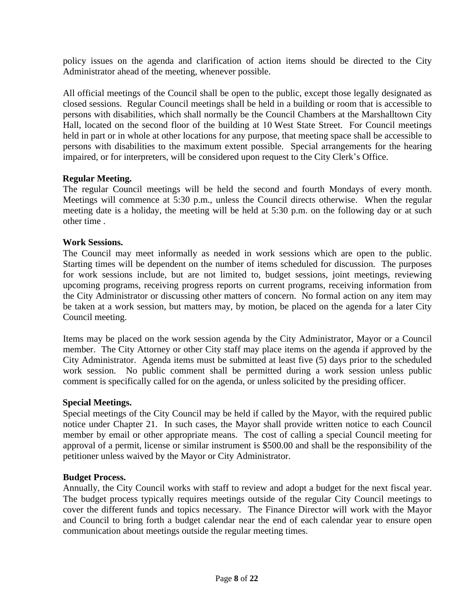policy issues on the agenda and clarification of action items should be directed to the City Administrator ahead of the meeting, whenever possible.

All official meetings of the Council shall be open to the public, except those legally designated as closed sessions. Regular Council meetings shall be held in a building or room that is accessible to persons with disabilities, which shall normally be the Council Chambers at the Marshalltown City Hall, located on the second floor of the building at 10 West State Street. For Council meetings held in part or in whole at other locations for any purpose, that meeting space shall be accessible to persons with disabilities to the maximum extent possible. Special arrangements for the hearing impaired, or for interpreters, will be considered upon request to the City Clerk's Office.

#### **Regular Meeting.**

<span id="page-7-0"></span>The regular Council meetings will be held the second and fourth Mondays of every month. Meetings will commence at 5:30 p.m., unless the Council directs otherwise. When the regular meeting date is a holiday, the meeting will be held at 5:30 p.m. on the following day or at such other time .

#### **Work Sessions.**

<span id="page-7-1"></span>The Council may meet informally as needed in work sessions which are open to the public. Starting times will be dependent on the number of items scheduled for discussion. The purposes for work sessions include, but are not limited to, budget sessions, joint meetings, reviewing upcoming programs, receiving progress reports on current programs, receiving information from the City Administrator or discussing other matters of concern. No formal action on any item may be taken at a work session, but matters may, by motion, be placed on the agenda for a later City Council meeting.

Items may be placed on the work session agenda by the City Administrator, Mayor or a Council member. The City Attorney or other City staff may place items on the agenda if approved by the City Administrator. Agenda items must be submitted at least five (5) days prior to the scheduled work session. No public comment shall be permitted during a work session unless public comment is specifically called for on the agenda, or unless solicited by the presiding officer.

#### **Special Meetings.**

<span id="page-7-2"></span>Special meetings of the City Council may be held if called by the Mayor, with the required public notice under Chapter 21. In such cases, the Mayor shall provide written notice to each Council member by email or other appropriate means. The cost of calling a special Council meeting for approval of a permit, license or similar instrument is \$500.00 and shall be the responsibility of the petitioner unless waived by the Mayor or City Administrator.

#### <span id="page-7-3"></span>**Budget Process.**

Annually, the City Council works with staff to review and adopt a budget for the next fiscal year. The budget process typically requires meetings outside of the regular City Council meetings to cover the different funds and topics necessary. The Finance Director will work with the Mayor and Council to bring forth a budget calendar near the end of each calendar year to ensure open communication about meetings outside the regular meeting times.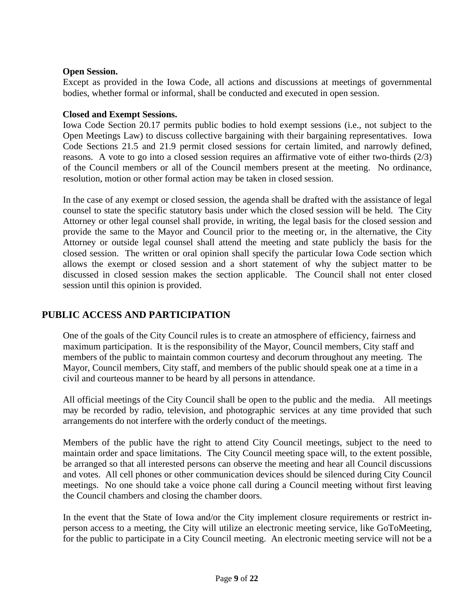#### **Open Session.**

<span id="page-8-0"></span>Except as provided in the Iowa Code, all actions and discussions at meetings of governmental bodies, whether formal or informal, shall be conducted and executed in open session.

#### <span id="page-8-1"></span>**Closed and Exempt Sessions.**

Iowa Code Section 20.17 permits public bodies to hold exempt sessions (i.e., not subject to the Open Meetings Law) to discuss collective bargaining with their bargaining representatives. Iowa Code Sections 21.5 and 21.9 permit closed sessions for certain limited, and narrowly defined, reasons. A vote to go into a closed session requires an affirmative vote of either two-thirds (2/3) of the Council members or all of the Council members present at the meeting. No ordinance, resolution, motion or other formal action may be taken in closed session.

In the case of any exempt or closed session, the agenda shall be drafted with the assistance of legal counsel to state the specific statutory basis under which the closed session will be held. The City Attorney or other legal counsel shall provide, in writing, the legal basis for the closed session and provide the same to the Mayor and Council prior to the meeting or, in the alternative, the City Attorney or outside legal counsel shall attend the meeting and state publicly the basis for the closed session. The written or oral opinion shall specify the particular Iowa Code section which allows the exempt or closed session and a short statement of why the subject matter to be discussed in closed session makes the section applicable. The Council shall not enter closed session until this opinion is provided.

# <span id="page-8-2"></span>**PUBLIC ACCESS AND PARTICIPATION**

One of the goals of the City Council rules is to create an atmosphere of efficiency, fairness and maximum participation. It is the responsibility of the Mayor, Council members, City staff and members of the public to maintain common courtesy and decorum throughout any meeting. The Mayor, Council members, City staff, and members of the public should speak one at a time in a civil and courteous manner to be heard by all persons in attendance.

All official meetings of the City Council shall be open to the public and the media. All meetings may be recorded by radio, television, and photographic services at any time provided that such arrangements do not interfere with the orderly conduct of the meetings.

Members of the public have the right to attend City Council meetings, subject to the need to maintain order and space limitations. The City Council meeting space will, to the extent possible, be arranged so that all interested persons can observe the meeting and hear all Council discussions and votes. All cell phones or other communication devices should be silenced during City Council meetings. No one should take a voice phone call during a Council meeting without first leaving the Council chambers and closing the chamber doors.

In the event that the State of Iowa and/or the City implement closure requirements or restrict inperson access to a meeting, the City will utilize an electronic meeting service, like GoToMeeting, for the public to participate in a City Council meeting. An electronic meeting service will not be a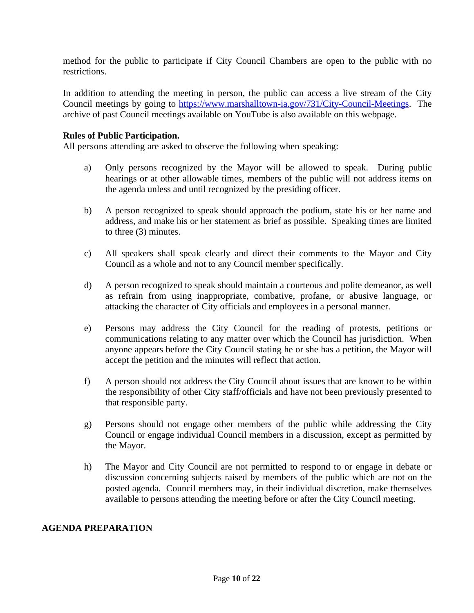method for the public to participate if City Council Chambers are open to the public with no restrictions.

In addition to attending the meeting in person, the public can access a live stream of the City Council meetings by going to <https://www.marshalltown-ia.gov/731/City-Council-Meetings>. The archive of past Council meetings available on YouTube is also available on this webpage.

#### **Rules of Public Participation.**

<span id="page-9-0"></span>All persons attending are asked to observe the following when speaking:

- a) Only persons recognized by the Mayor will be allowed to speak. During public hearings or at other allowable times, members of the public will not address items on the agenda unless and until recognized by the presiding officer.
- b) A person recognized to speak should approach the podium, state his or her name and address, and make his or her statement as brief as possible. Speaking times are limited to three (3) minutes.
- c) All speakers shall speak clearly and direct their comments to the Mayor and City Council as a whole and not to any Council member specifically.
- d) A person recognized to speak should maintain a courteous and polite demeanor, as well as refrain from using inappropriate, combative, profane, or abusive language, or attacking the character of City officials and employees in a personal manner.
- e) Persons may address the City Council for the reading of protests, petitions or communications relating to any matter over which the Council has jurisdiction. When anyone appears before the City Council stating he or she has a petition, the Mayor will accept the petition and the minutes will reflect that action.
- f) A person should not address the City Council about issues that are known to be within the responsibility of other City staff/officials and have not been previously presented to that responsible party.
- g) Persons should not engage other members of the public while addressing the City Council or engage individual Council members in a discussion, except as permitted by the Mayor.
- h) The Mayor and City Council are not permitted to respond to or engage in debate or discussion concerning subjects raised by members of the public which are not on the posted agenda. Council members may, in their individual discretion, make themselves available to persons attending the meeting before or after the City Council meeting.

#### <span id="page-9-1"></span>**AGENDA PREPARATION**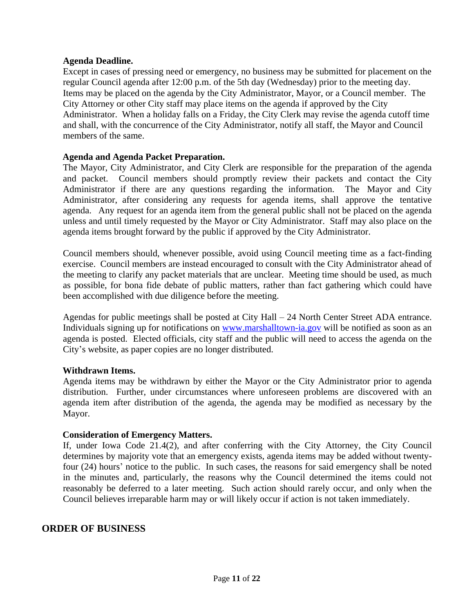#### <span id="page-10-0"></span>**Agenda Deadline.**

Except in cases of pressing need or emergency, no business may be submitted for placement on the regular Council agenda after 12:00 p.m. of the 5th day (Wednesday) prior to the meeting day. Items may be placed on the agenda by the City Administrator, Mayor, or a Council member. The City Attorney or other City staff may place items on the agenda if approved by the City Administrator. When a holiday falls on a Friday, the City Clerk may revise the agenda cutoff time and shall, with the concurrence of the City Administrator, notify all staff, the Mayor and Council members of the same.

#### <span id="page-10-1"></span>**Agenda and Agenda Packet Preparation.**

The Mayor, City Administrator, and City Clerk are responsible for the preparation of the agenda and packet. Council members should promptly review their packets and contact the City Administrator if there are any questions regarding the information. The Mayor and City Administrator, after considering any requests for agenda items, shall approve the tentative agenda. Any request for an agenda item from the general public shall not be placed on the agenda unless and until timely requested by the Mayor or City Administrator. Staff may also place on the agenda items brought forward by the public if approved by the City Administrator.

Council members should, whenever possible, avoid using Council meeting time as a fact-finding exercise. Council members are instead encouraged to consult with the City Administrator ahead of the meeting to clarify any packet materials that are unclear. Meeting time should be used, as much as possible, for bona fide debate of public matters, rather than fact gathering which could have been accomplished with due diligence before the meeting.

Agendas for public meetings shall be posted at City Hall – 24 North Center Street ADA entrance. Individuals signing up for notifications on [www.marshalltown-ia.gov](http://www.marshalltown-ia.gov) will be notified as soon as an agenda is posted. Elected officials, city staff and the public will need to access the agenda on the City's website, as paper copies are no longer distributed.

#### <span id="page-10-2"></span>**Withdrawn Items.**

Agenda items may be withdrawn by either the Mayor or the City Administrator prior to agenda distribution. Further, under circumstances where unforeseen problems are discovered with an agenda item after distribution of the agenda, the agenda may be modified as necessary by the Mayor.

#### <span id="page-10-3"></span>**Consideration of Emergency Matters.**

If, under Iowa Code 21.4(2), and after conferring with the City Attorney, the City Council determines by majority vote that an emergency exists, agenda items may be added without twentyfour (24) hours' notice to the public. In such cases, the reasons for said emergency shall be noted in the minutes and, particularly, the reasons why the Council determined the items could not reasonably be deferred to a later meeting. Such action should rarely occur, and only when the Council believes irreparable harm may or will likely occur if action is not taken immediately.

#### <span id="page-10-4"></span>**ORDER OF BUSINESS**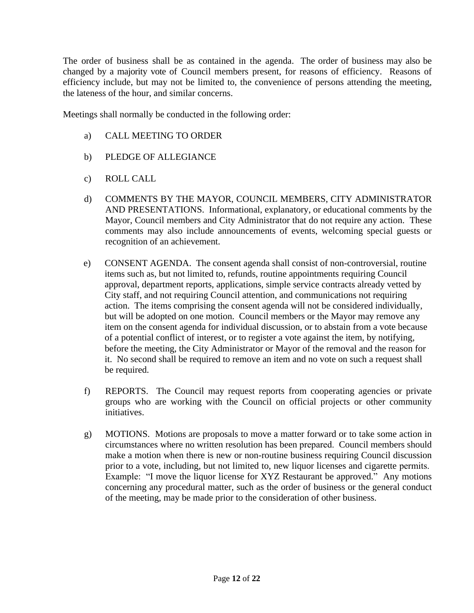The order of business shall be as contained in the agenda. The order of business may also be changed by a majority vote of Council members present, for reasons of efficiency. Reasons of efficiency include, but may not be limited to, the convenience of persons attending the meeting, the lateness of the hour, and similar concerns.

Meetings shall normally be conducted in the following order:

- a) CALL MEETING TO ORDER
- b) PLEDGE OF ALLEGIANCE
- c) ROLL CALL
- d) COMMENTS BY THE MAYOR, COUNCIL MEMBERS, CITY ADMINISTRATOR AND PRESENTATIONS. Informational, explanatory, or educational comments by the Mayor, Council members and City Administrator that do not require any action. These comments may also include announcements of events, welcoming special guests or recognition of an achievement.
- e) CONSENT AGENDA. The consent agenda shall consist of non-controversial, routine items such as, but not limited to, refunds, routine appointments requiring Council approval, department reports, applications, simple service contracts already vetted by City staff, and not requiring Council attention, and communications not requiring action. The items comprising the consent agenda will not be considered individually, but will be adopted on one motion. Council members or the Mayor may remove any item on the consent agenda for individual discussion, or to abstain from a vote because of a potential conflict of interest, or to register a vote against the item, by notifying, before the meeting, the City Administrator or Mayor of the removal and the reason for it. No second shall be required to remove an item and no vote on such a request shall be required.
- f) REPORTS. The Council may request reports from cooperating agencies or private groups who are working with the Council on official projects or other community initiatives.
- g) MOTIONS. Motions are proposals to move a matter forward or to take some action in circumstances where no written resolution has been prepared. Council members should make a motion when there is new or non-routine business requiring Council discussion prior to a vote, including, but not limited to, new liquor licenses and cigarette permits. Example: "I move the liquor license for XYZ Restaurant be approved." Any motions concerning any procedural matter, such as the order of business or the general conduct of the meeting, may be made prior to the consideration of other business.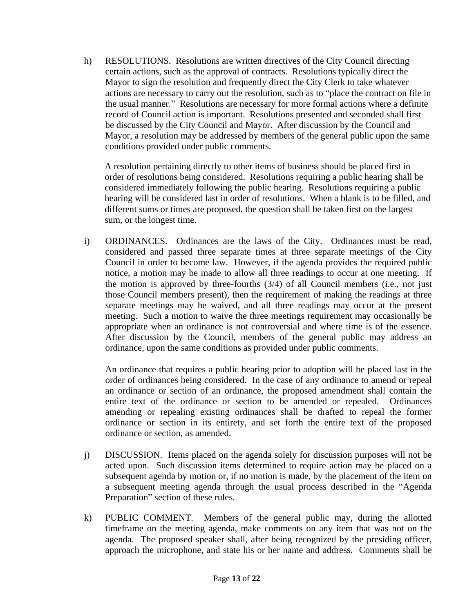h) RESOLUTIONS. Resolutions are written directives of the City Council directing certain actions, such as the approval of contracts. Resolutions typically direct the Mayor to sign the resolution and frequently direct the City Clerk to take whatever actions are necessary to carry out the resolution, such as to "place the contract on file in the usual manner." Resolutions are necessary for more formal actions where a definite record of Council action is important. Resolutions presented and seconded shall first be discussed by the City Council and Mayor. After discussion by the Council and Mayor, a resolution may be addressed by members of the general public upon the same conditions provided under public comments.

A resolution pertaining directly to other items of business should be placed first in order of resolutions being considered. Resolutions requiring a public hearing shall be considered immediately following the public hearing. Resolutions requiring a public hearing will be considered last in order of resolutions. When a blank is to be filled, and different sums or times are proposed, the question shall be taken first on the largest sum, or the longest time.

i) ORDINANCES. Ordinances are the laws of the City. Ordinances must be read, considered and passed three separate times at three separate meetings of the City Council in order to become law. However, if the agenda provides the required public notice, a motion may be made to allow all three readings to occur at one meeting. If the motion is approved by three-fourths (3/4) of all Council members (i.e., not just those Council members present), then the requirement of making the readings at three separate meetings may be waived, and all three readings may occur at the present meeting. Such a motion to waive the three meetings requirement may occasionally be appropriate when an ordinance is not controversial and where time is of the essence. After discussion by the Council, members of the general public may address an ordinance, upon the same conditions as provided under public comments.

An ordinance that requires a public hearing prior to adoption will be placed last in the order of ordinances being considered. In the case of any ordinance to amend or repeal an ordinance or section of an ordinance, the proposed amendment shall contain the entire text of the ordinance or section to be amended or repealed. Ordinances amending or repealing existing ordinances shall be drafted to repeal the former ordinance or section in its entirety, and set forth the entire text of the proposed ordinance or section, as amended.

- j) DISCUSSION. Items placed on the agenda solely for discussion purposes will not be acted upon. Such discussion items determined to require action may be placed on a subsequent agenda by motion or, if no motion is made, by the placement of the item on a subsequent meeting agenda through the usual process described in the "Agenda Preparation" section of these rules.
- k) PUBLIC COMMENT. Members of the general public may, during the allotted timeframe on the meeting agenda, make comments on any item that was not on the agenda. The proposed speaker shall, after being recognized by the presiding officer, approach the microphone, and state his or her name and address. Comments shall be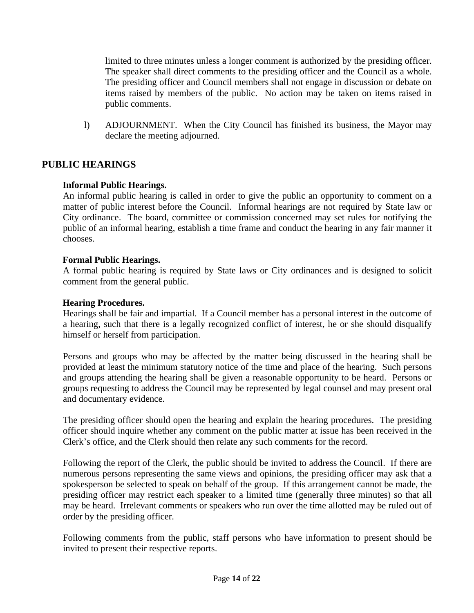limited to three minutes unless a longer comment is authorized by the presiding officer. The speaker shall direct comments to the presiding officer and the Council as a whole. The presiding officer and Council members shall not engage in discussion or debate on items raised by members of the public. No action may be taken on items raised in public comments.

l) ADJOURNMENT. When the City Council has finished its business, the Mayor may declare the meeting adjourned.

# <span id="page-13-0"></span>**PUBLIC HEARINGS**

#### <span id="page-13-1"></span>**Informal Public Hearings.**

An informal public hearing is called in order to give the public an opportunity to comment on a matter of public interest before the Council. Informal hearings are not required by State law or City ordinance. The board, committee or commission concerned may set rules for notifying the public of an informal hearing, establish a time frame and conduct the hearing in any fair manner it chooses.

#### <span id="page-13-2"></span>**Formal Public Hearings.**

A formal public hearing is required by State laws or City ordinances and is designed to solicit comment from the general public.

#### <span id="page-13-3"></span>**Hearing Procedures.**

Hearings shall be fair and impartial. If a Council member has a personal interest in the outcome of a hearing, such that there is a legally recognized conflict of interest, he or she should disqualify himself or herself from participation.

Persons and groups who may be affected by the matter being discussed in the hearing shall be provided at least the minimum statutory notice of the time and place of the hearing. Such persons and groups attending the hearing shall be given a reasonable opportunity to be heard. Persons or groups requesting to address the Council may be represented by legal counsel and may present oral and documentary evidence.

The presiding officer should open the hearing and explain the hearing procedures. The presiding officer should inquire whether any comment on the public matter at issue has been received in the Clerk's office, and the Clerk should then relate any such comments for the record.

Following the report of the Clerk, the public should be invited to address the Council. If there are numerous persons representing the same views and opinions, the presiding officer may ask that a spokesperson be selected to speak on behalf of the group. If this arrangement cannot be made, the presiding officer may restrict each speaker to a limited time (generally three minutes) so that all may be heard. Irrelevant comments or speakers who run over the time allotted may be ruled out of order by the presiding officer.

Following comments from the public, staff persons who have information to present should be invited to present their respective reports.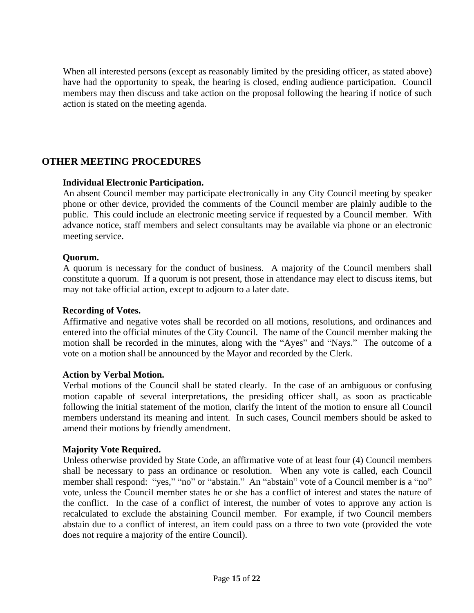When all interested persons (except as reasonably limited by the presiding officer, as stated above) have had the opportunity to speak, the hearing is closed, ending audience participation. Council members may then discuss and take action on the proposal following the hearing if notice of such action is stated on the meeting agenda.

# <span id="page-14-0"></span>**OTHER MEETING PROCEDURES**

#### <span id="page-14-1"></span>**Individual Electronic Participation.**

An absent Council member may participate electronically in any City Council meeting by speaker phone or other device, provided the comments of the Council member are plainly audible to the public. This could include an electronic meeting service if requested by a Council member. With advance notice, staff members and select consultants may be available via phone or an electronic meeting service.

#### <span id="page-14-2"></span>**Quorum.**

A quorum is necessary for the conduct of business. A majority of the Council members shall constitute a quorum. If a quorum is not present, those in attendance may elect to discuss items, but may not take official action, except to adjourn to a later date.

#### <span id="page-14-3"></span>**Recording of Votes.**

Affirmative and negative votes shall be recorded on all motions, resolutions, and ordinances and entered into the official minutes of the City Council. The name of the Council member making the motion shall be recorded in the minutes, along with the "Ayes" and "Nays." The outcome of a vote on a motion shall be announced by the Mayor and recorded by the Clerk.

#### <span id="page-14-4"></span>**Action by Verbal Motion.**

Verbal motions of the Council shall be stated clearly. In the case of an ambiguous or confusing motion capable of several interpretations, the presiding officer shall, as soon as practicable following the initial statement of the motion, clarify the intent of the motion to ensure all Council members understand its meaning and intent. In such cases, Council members should be asked to amend their motions by friendly amendment.

#### <span id="page-14-5"></span>**Majority Vote Required.**

Unless otherwise provided by State Code, an affirmative vote of at least four (4) Council members shall be necessary to pass an ordinance or resolution. When any vote is called, each Council member shall respond: "yes," "no" or "abstain." An "abstain" vote of a Council member is a "no" vote, unless the Council member states he or she has a conflict of interest and states the nature of the conflict. In the case of a conflict of interest, the number of votes to approve any action is recalculated to exclude the abstaining Council member. For example, if two Council members abstain due to a conflict of interest, an item could pass on a three to two vote (provided the vote does not require a majority of the entire Council).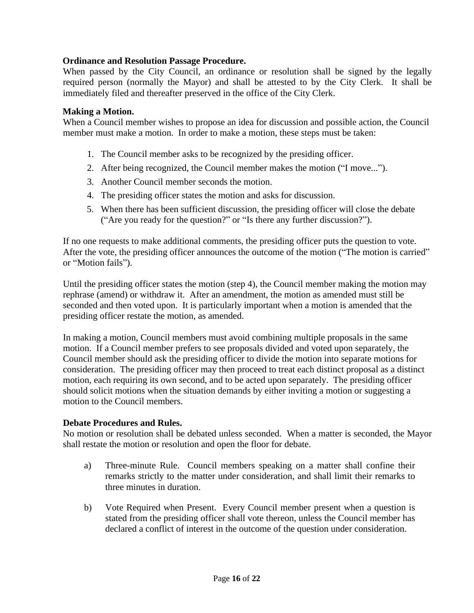#### <span id="page-15-0"></span>**Ordinance and Resolution Passage Procedure.**

When passed by the City Council, an ordinance or resolution shall be signed by the legally required person (normally the Mayor) and shall be attested to by the City Clerk. It shall be immediately filed and thereafter preserved in the office of the City Clerk.

#### **Making a Motion.**

<span id="page-15-1"></span>When a Council member wishes to propose an idea for discussion and possible action, the Council member must make a motion. In order to make a motion, these steps must be taken:

- 1. The Council member asks to be recognized by the presiding officer.
- 2. After being recognized, the Council member makes the motion ("I move...").
- 3. Another Council member seconds the motion.
- 4. The presiding officer states the motion and asks for discussion.
- 5. When there has been sufficient discussion, the presiding officer will close the debate ("Are you ready for the question?" or "Is there any further discussion?").

If no one requests to make additional comments, the presiding officer puts the question to vote. After the vote, the presiding officer announces the outcome of the motion ("The motion is carried" or "Motion fails").

Until the presiding officer states the motion (step 4), the Council member making the motion may rephrase (amend) or withdraw it. After an amendment, the motion as amended must still be seconded and then voted upon. It is particularly important when a motion is amended that the presiding officer restate the motion, as amended.

In making a motion, Council members must avoid combining multiple proposals in the same motion. If a Council member prefers to see proposals divided and voted upon separately, the Council member should ask the presiding officer to divide the motion into separate motions for consideration. The presiding officer may then proceed to treat each distinct proposal as a distinct motion, each requiring its own second, and to be acted upon separately. The presiding officer should solicit motions when the situation demands by either inviting a motion or suggesting a motion to the Council members.

#### <span id="page-15-2"></span>**Debate Procedures and Rules.**

No motion or resolution shall be debated unless seconded. When a matter is seconded, the Mayor shall restate the motion or resolution and open the floor for debate.

- a) Three-minute Rule. Council members speaking on a matter shall confine their remarks strictly to the matter under consideration, and shall limit their remarks to three minutes in duration.
- b) Vote Required when Present. Every Council member present when a question is stated from the presiding officer shall vote thereon, unless the Council member has declared a conflict of interest in the outcome of the question under consideration.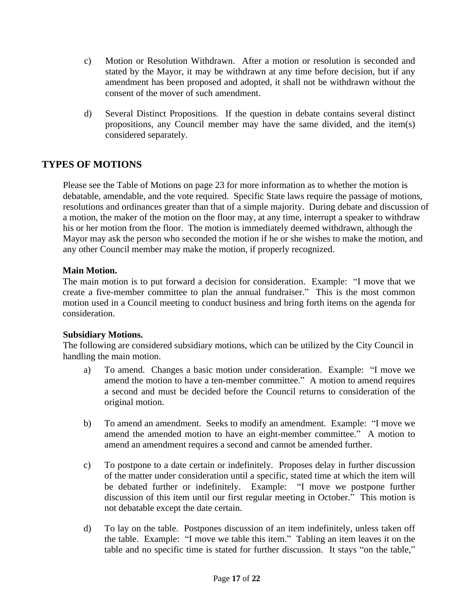- c) Motion or Resolution Withdrawn. After a motion or resolution is seconded and stated by the Mayor, it may be withdrawn at any time before decision, but if any amendment has been proposed and adopted, it shall not be withdrawn without the consent of the mover of such amendment.
- d) Several Distinct Propositions. If the question in debate contains several distinct propositions, any Council member may have the same divided, and the item(s) considered separately.

# <span id="page-16-0"></span>**TYPES OF MOTIONS**

Please see the Table of Motions on page 23 for more information as to whether the motion is debatable, amendable, and the vote required. Specific State laws require the passage of motions, resolutions and ordinances greater than that of a simple majority. During debate and discussion of a motion, the maker of the motion on the floor may, at any time, interrupt a speaker to withdraw his or her motion from the floor. The motion is immediately deemed withdrawn, although the Mayor may ask the person who seconded the motion if he or she wishes to make the motion, and any other Council member may make the motion, if properly recognized.

#### <span id="page-16-1"></span>**Main Motion.**

The main motion is to put forward a decision for consideration. Example: "I move that we create a five-member committee to plan the annual fundraiser." This is the most common motion used in a Council meeting to conduct business and bring forth items on the agenda for consideration.

#### <span id="page-16-2"></span>**Subsidiary Motions.**

The following are considered subsidiary motions, which can be utilized by the City Council in handling the main motion.

- a) To amend. Changes a basic motion under consideration. Example: "I move we amend the motion to have a ten-member committee." A motion to amend requires a second and must be decided before the Council returns to consideration of the original motion.
- b) To amend an amendment. Seeks to modify an amendment. Example: "I move we amend the amended motion to have an eight-member committee." A motion to amend an amendment requires a second and cannot be amended further.
- c) To postpone to a date certain or indefinitely. Proposes delay in further discussion of the matter under consideration until a specific, stated time at which the item will be debated further or indefinitely. Example: "I move we postpone further discussion of this item until our first regular meeting in October." This motion is not debatable except the date certain.
- d) To lay on the table. Postpones discussion of an item indefinitely, unless taken off the table. Example: "I move we table this item." Tabling an item leaves it on the table and no specific time is stated for further discussion. It stays "on the table,"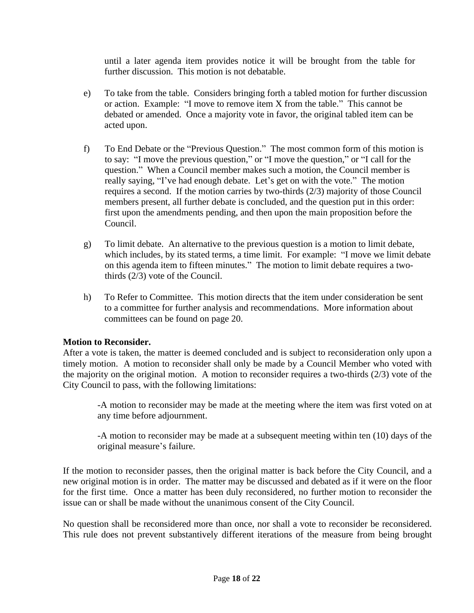until a later agenda item provides notice it will be brought from the table for further discussion. This motion is not debatable.

- e) To take from the table. Considers bringing forth a tabled motion for further discussion or action. Example: "I move to remove item X from the table." This cannot be debated or amended. Once a majority vote in favor, the original tabled item can be acted upon.
- f) To End Debate or the "Previous Question." The most common form of this motion is to say: "I move the previous question," or "I move the question," or "I call for the question." When a Council member makes such a motion, the Council member is really saying, "I've had enough debate. Let's get on with the vote." The motion requires a second. If the motion carries by two-thirds (2/3) majority of those Council members present, all further debate is concluded, and the question put in this order: first upon the amendments pending, and then upon the main proposition before the Council.
- g) To limit debate. An alternative to the previous question is a motion to limit debate, which includes, by its stated terms, a time limit. For example: "I move we limit debate on this agenda item to fifteen minutes." The motion to limit debate requires a twothirds (2/3) vote of the Council.
- h) To Refer to Committee. This motion directs that the item under consideration be sent to a committee for further analysis and recommendations. More information about committees can be found on page 20.

#### **Motion to Reconsider.**

<span id="page-17-0"></span>After a vote is taken, the matter is deemed concluded and is subject to reconsideration only upon a timely motion. A motion to reconsider shall only be made by a Council Member who voted with the majority on the original motion. A motion to reconsider requires a two-thirds (2/3) vote of the City Council to pass, with the following limitations:

-A motion to reconsider may be made at the meeting where the item was first voted on at any time before adjournment.

-A motion to reconsider may be made at a subsequent meeting within ten (10) days of the original measure's failure.

If the motion to reconsider passes, then the original matter is back before the City Council, and a new original motion is in order. The matter may be discussed and debated as if it were on the floor for the first time. Once a matter has been duly reconsidered, no further motion to reconsider the issue can or shall be made without the unanimous consent of the City Council.

No question shall be reconsidered more than once, nor shall a vote to reconsider be reconsidered. This rule does not prevent substantively different iterations of the measure from being brought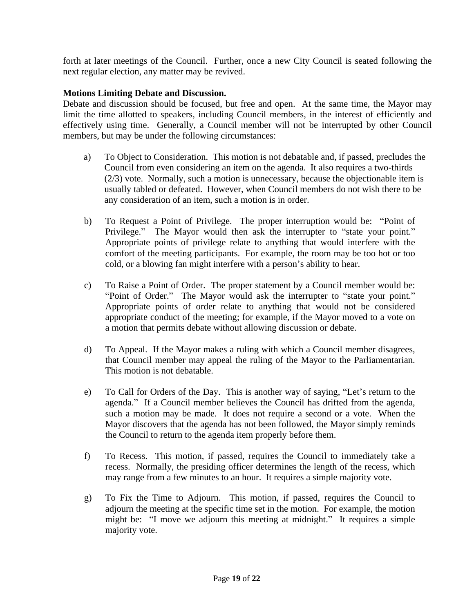forth at later meetings of the Council. Further, once a new City Council is seated following the next regular election, any matter may be revived.

#### **Motions Limiting Debate and Discussion.**

<span id="page-18-0"></span>Debate and discussion should be focused, but free and open. At the same time, the Mayor may limit the time allotted to speakers, including Council members, in the interest of efficiently and effectively using time. Generally, a Council member will not be interrupted by other Council members, but may be under the following circumstances:

- a) To Object to Consideration. This motion is not debatable and, if passed, precludes the Council from even considering an item on the agenda. It also requires a two-thirds (2/3) vote. Normally, such a motion is unnecessary, because the objectionable item is usually tabled or defeated. However, when Council members do not wish there to be any consideration of an item, such a motion is in order.
- b) To Request a Point of Privilege. The proper interruption would be: "Point of Privilege." The Mayor would then ask the interrupter to "state your point." Appropriate points of privilege relate to anything that would interfere with the comfort of the meeting participants. For example, the room may be too hot or too cold, or a blowing fan might interfere with a person's ability to hear.
- c) To Raise a Point of Order. The proper statement by a Council member would be: "Point of Order." The Mayor would ask the interrupter to "state your point." Appropriate points of order relate to anything that would not be considered appropriate conduct of the meeting; for example, if the Mayor moved to a vote on a motion that permits debate without allowing discussion or debate.
- d) To Appeal. If the Mayor makes a ruling with which a Council member disagrees, that Council member may appeal the ruling of the Mayor to the Parliamentarian. This motion is not debatable.
- e) To Call for Orders of the Day. This is another way of saying, "Let's return to the agenda." If a Council member believes the Council has drifted from the agenda, such a motion may be made. It does not require a second or a vote. When the Mayor discovers that the agenda has not been followed, the Mayor simply reminds the Council to return to the agenda item properly before them.
- f) To Recess. This motion, if passed, requires the Council to immediately take a recess. Normally, the presiding officer determines the length of the recess, which may range from a few minutes to an hour. It requires a simple majority vote.
- g) To Fix the Time to Adjourn. This motion, if passed, requires the Council to adjourn the meeting at the specific time set in the motion. For example, the motion might be: "I move we adjourn this meeting at midnight." It requires a simple majority vote.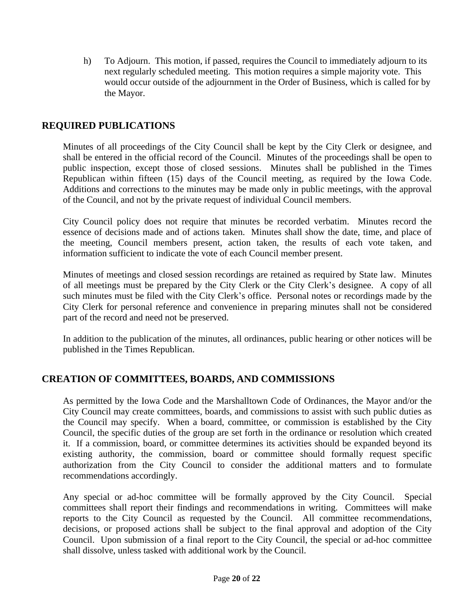h) To Adjourn. This motion, if passed, requires the Council to immediately adjourn to its next regularly scheduled meeting. This motion requires a simple majority vote. This would occur outside of the adjournment in the Order of Business, which is called for by the Mayor.

# <span id="page-19-0"></span>**REQUIRED PUBLICATIONS**

Minutes of all proceedings of the City Council shall be kept by the City Clerk or designee, and shall be entered in the official record of the Council. Minutes of the proceedings shall be open to public inspection, except those of closed sessions. Minutes shall be published in the Times Republican within fifteen (15) days of the Council meeting, as required by the Iowa Code. Additions and corrections to the minutes may be made only in public meetings, with the approval of the Council, and not by the private request of individual Council members.

City Council policy does not require that minutes be recorded verbatim. Minutes record the essence of decisions made and of actions taken. Minutes shall show the date, time, and place of the meeting, Council members present, action taken, the results of each vote taken, and information sufficient to indicate the vote of each Council member present.

Minutes of meetings and closed session recordings are retained as required by State law. Minutes of all meetings must be prepared by the City Clerk or the City Clerk's designee. A copy of all such minutes must be filed with the City Clerk's office. Personal notes or recordings made by the City Clerk for personal reference and convenience in preparing minutes shall not be considered part of the record and need not be preserved.

In addition to the publication of the minutes, all ordinances, public hearing or other notices will be published in the Times Republican.

#### <span id="page-19-1"></span>**CREATION OF COMMITTEES, BOARDS, AND COMMISSIONS**

As permitted by the Iowa Code and the Marshalltown Code of Ordinances, the Mayor and/or the City Council may create committees, boards, and commissions to assist with such public duties as the Council may specify. When a board, committee, or commission is established by the City Council, the specific duties of the group are set forth in the ordinance or resolution which created it. If a commission, board, or committee determines its activities should be expanded beyond its existing authority, the commission, board or committee should formally request specific authorization from the City Council to consider the additional matters and to formulate recommendations accordingly.

Any special or ad-hoc committee will be formally approved by the City Council. Special committees shall report their findings and recommendations in writing. Committees will make reports to the City Council as requested by the Council. All committee recommendations, decisions, or proposed actions shall be subject to the final approval and adoption of the City Council. Upon submission of a final report to the City Council, the special or ad-hoc committee shall dissolve, unless tasked with additional work by the Council.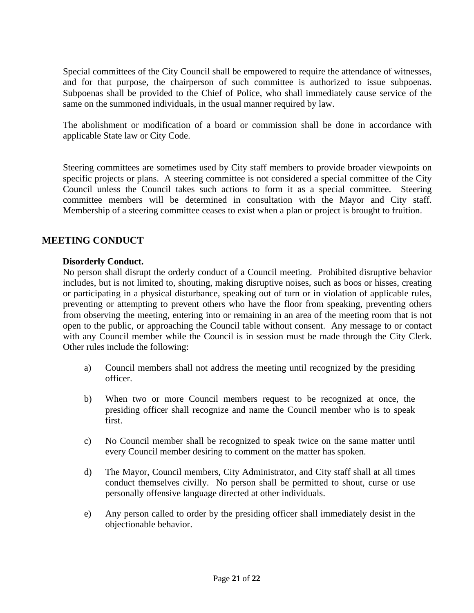Special committees of the City Council shall be empowered to require the attendance of witnesses, and for that purpose, the chairperson of such committee is authorized to issue subpoenas. Subpoenas shall be provided to the Chief of Police, who shall immediately cause service of the same on the summoned individuals, in the usual manner required by law.

The abolishment or modification of a board or commission shall be done in accordance with applicable State law or City Code.

Steering committees are sometimes used by City staff members to provide broader viewpoints on specific projects or plans. A steering committee is not considered a special committee of the City Council unless the Council takes such actions to form it as a special committee. Steering committee members will be determined in consultation with the Mayor and City staff. Membership of a steering committee ceases to exist when a plan or project is brought to fruition.

# <span id="page-20-0"></span>**MEETING CONDUCT**

#### <span id="page-20-1"></span>**Disorderly Conduct.**

No person shall disrupt the orderly conduct of a Council meeting. Prohibited disruptive behavior includes, but is not limited to, shouting, making disruptive noises, such as boos or hisses, creating or participating in a physical disturbance, speaking out of turn or in violation of applicable rules, preventing or attempting to prevent others who have the floor from speaking, preventing others from observing the meeting, entering into or remaining in an area of the meeting room that is not open to the public, or approaching the Council table without consent. Any message to or contact with any Council member while the Council is in session must be made through the City Clerk. Other rules include the following:

- a) Council members shall not address the meeting until recognized by the presiding officer.
- b) When two or more Council members request to be recognized at once, the presiding officer shall recognize and name the Council member who is to speak first.
- c) No Council member shall be recognized to speak twice on the same matter until every Council member desiring to comment on the matter has spoken.
- d) The Mayor, Council members, City Administrator, and City staff shall at all times conduct themselves civilly. No person shall be permitted to shout, curse or use personally offensive language directed at other individuals.
- e) Any person called to order by the presiding officer shall immediately desist in the objectionable behavior.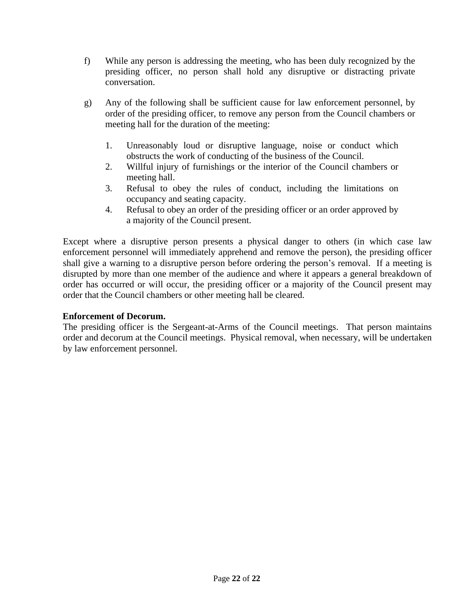- f) While any person is addressing the meeting, who has been duly recognized by the presiding officer, no person shall hold any disruptive or distracting private conversation.
- g) Any of the following shall be sufficient cause for law enforcement personnel, by order of the presiding officer, to remove any person from the Council chambers or meeting hall for the duration of the meeting:
	- 1. Unreasonably loud or disruptive language, noise or conduct which obstructs the work of conducting of the business of the Council.
	- 2. Willful injury of furnishings or the interior of the Council chambers or meeting hall.
	- 3. Refusal to obey the rules of conduct, including the limitations on occupancy and seating capacity.
	- 4. Refusal to obey an order of the presiding officer or an order approved by a majority of the Council present.

Except where a disruptive person presents a physical danger to others (in which case law enforcement personnel will immediately apprehend and remove the person), the presiding officer shall give a warning to a disruptive person before ordering the person's removal. If a meeting is disrupted by more than one member of the audience and where it appears a general breakdown of order has occurred or will occur, the presiding officer or a majority of the Council present may order that the Council chambers or other meeting hall be cleared.

#### <span id="page-21-0"></span>**Enforcement of Decorum.**

The presiding officer is the Sergeant-at-Arms of the Council meetings. That person maintains order and decorum at the Council meetings. Physical removal, when necessary, will be undertaken by law enforcement personnel.